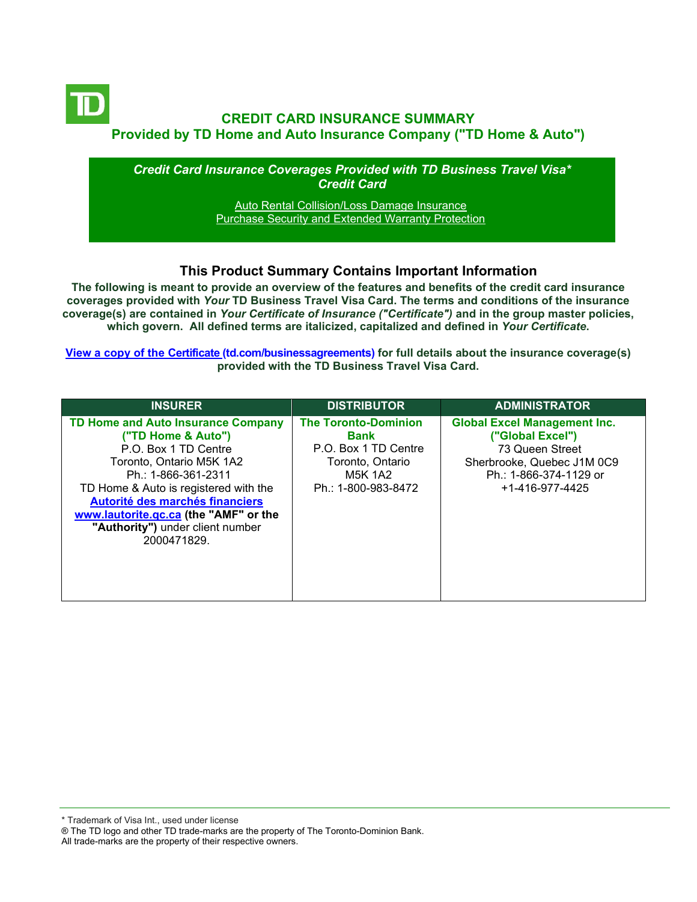

*Credit Card Insurance Coverages Provided with TD Business Travel Visa\* Credit Card*

> [Auto Rental Collision/Loss Damage Insurance](#page-3-0) [Purchase Security and Extended Warranty Protection](#page-4-0)

### **This Product Summary Contains Important Information**

**The following is meant to provide an overview of the features and benefits of the credit card insurance coverages provided with** *Your* **TD Business Travel Visa Card. The terms and conditions of the insurance coverage(s) are contained in** *Your Certificate of Insurance ("Certificate")* **and in the group master policies, which govern. All defined terms are italicized, [capitalized and defined](https://www.td.com/ca/en/business-banking/how-to/manage-my-business-credit-card/getting-started/) in** *Your Certificate***.**

**[View a copy of the Certificate](https://www.td.com/ca/en/business-banking/how-to/manage-my-business-credit-card/getting-started/) (td.com/businessagreements) for full details about the insurance coverage(s) provided with the TD Business Travel Visa Card.**

| <b>INSURER</b>                                                                                                                                                                                                                                                                                              | <b>DISTRIBUTOR</b>                                                                                                       | <b>ADMINISTRATOR</b>                                                                                                                                  |
|-------------------------------------------------------------------------------------------------------------------------------------------------------------------------------------------------------------------------------------------------------------------------------------------------------------|--------------------------------------------------------------------------------------------------------------------------|-------------------------------------------------------------------------------------------------------------------------------------------------------|
| TD Home and Auto Insurance Company<br>("TD Home & Auto")<br>P.O. Box 1 TD Centre<br>Toronto, Ontario M5K 1A2<br>Ph.: 1-866-361-2311<br>TD Home & Auto is registered with the<br>Autorité des marchés financiers<br>www.lautorite.qc.ca (the "AMF" or the<br>"Authority") under client number<br>2000471829. | <b>The Toronto-Dominion</b><br><b>Bank</b><br>P.O. Box 1 TD Centre<br>Toronto, Ontario<br>M5K 1A2<br>Ph.: 1-800-983-8472 | <b>Global Excel Management Inc.</b><br>("Global Excel")<br>73 Queen Street<br>Sherbrooke, Quebec J1M 0C9<br>Ph.: 1-866-374-1129 or<br>+1-416-977-4425 |

\* Trademark of Visa Int., used under license

All trade-marks are the property of their respective owners.

<sup>®</sup> The TD logo and other TD trade-marks are the property of The Toronto-Dominion Bank.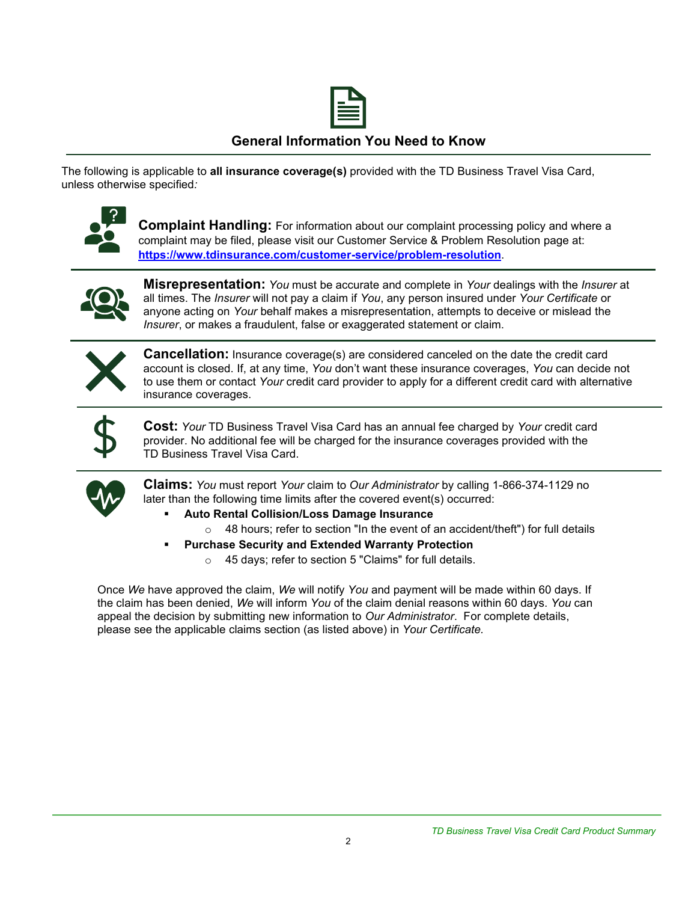

## **General Information You Need to Know**

The following is applicable to **all insurance coverage(s)** provided with the TD Business Travel Visa Card, unless otherwise specified*:*



**Complaint Handling:** For information about our complaint processing policy and where a complaint may be filed, please visit our Customer Service & Problem Resolution page at: **<https://www.tdinsurance.com/customer-service/problem-resolution>**.



**Misrepresentation:** *You* must be accurate and complete in *Your* dealings with the *Insurer* at all times. The *Insurer* will not pay a claim if *You*, any person insured under *Your Certificate* or anyone acting on *Your* behalf makes a misrepresentation, attempts to deceive or mislead the *Insurer*, or makes a fraudulent, false or exaggerated statement or claim.



**Cancellation:** Insurance coverage(s) are considered canceled on the date the credit card account is closed. If, at any time, *You* don't want these insurance coverages, *You* can decide not to use them or contact *Your* credit card provider to apply for a different credit card with alternative insurance coverages.



**Cost:** *Your* TD Business Travel Visa Card has an annual fee charged by *Your* credit card provider. No additional fee will be charged for the insurance coverages provided with the TD Business Travel Visa Card.



**Claims:** *You* must report *Your* claim to *Our Administrator* by calling 1-866-374-1129 no later than the following time limits after the covered event(s) occurred:

- **Auto Rental Collision/Loss Damage Insurance** 
	- o 48 hours; refer to section "In the event of an accident/theft") for full details
- **Purchase Security and Extended Warranty Protection** 
	- o 45 days; refer to section 5 "Claims" for full details.

Once *We* have approved the claim, *We* will notify *You* and payment will be made within 60 days. If the claim has been denied, *We* will inform *You* of the claim denial reasons within 60 days. *You* can appeal the decision by submitting new information to *Our Administrator*. For complete details, please see the applicable claims section (as listed above) in *Your Certificate.*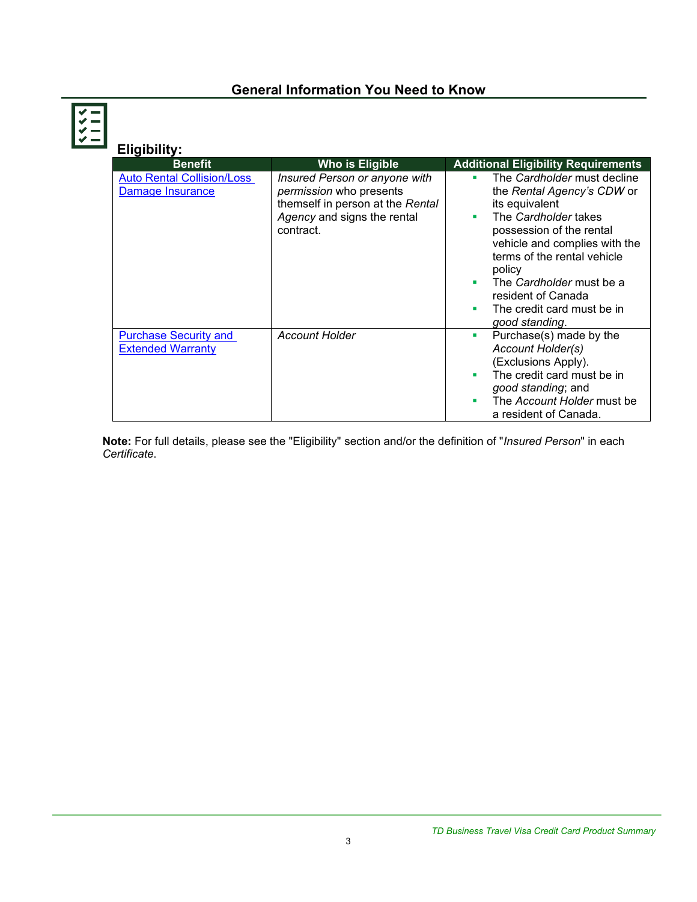# **General Information You Need to Know**

| <b>Eligibility:</b>                                      |                                                                                                                                                 |                                                                                                                                                                                                                                                                                                                            |
|----------------------------------------------------------|-------------------------------------------------------------------------------------------------------------------------------------------------|----------------------------------------------------------------------------------------------------------------------------------------------------------------------------------------------------------------------------------------------------------------------------------------------------------------------------|
| <b>Benefit</b>                                           | Who is Eligible                                                                                                                                 | <b>Additional Eligibility Requirements</b>                                                                                                                                                                                                                                                                                 |
| <b>Auto Rental Collision/Loss</b><br>Damage Insurance    | Insured Person or anyone with<br><i>permission</i> who presents<br>themself in person at the Rental<br>Agency and signs the rental<br>contract. | The Cardholder must decline<br>٠<br>the Rental Agency's CDW or<br>its equivalent<br>The Cardholder takes<br>٠<br>possession of the rental<br>vehicle and complies with the<br>terms of the rental vehicle<br>policy<br>The Cardholder must be a<br>٠<br>resident of Canada<br>The credit card must be in<br>good standing. |
| <b>Purchase Security and</b><br><b>Extended Warranty</b> | <b>Account Holder</b>                                                                                                                           | Purchase(s) made by the<br>ш<br>Account Holder(s)<br>(Exclusions Apply).<br>The credit card must be in<br>٠<br>good standing; and<br>The Account Holder must be<br>٠<br>a resident of Canada.                                                                                                                              |

<span id="page-2-0"></span>**Note:** For full details, please see the "Eligibility" section and/or the definition of "*Insured Person*" in each *Certificate*.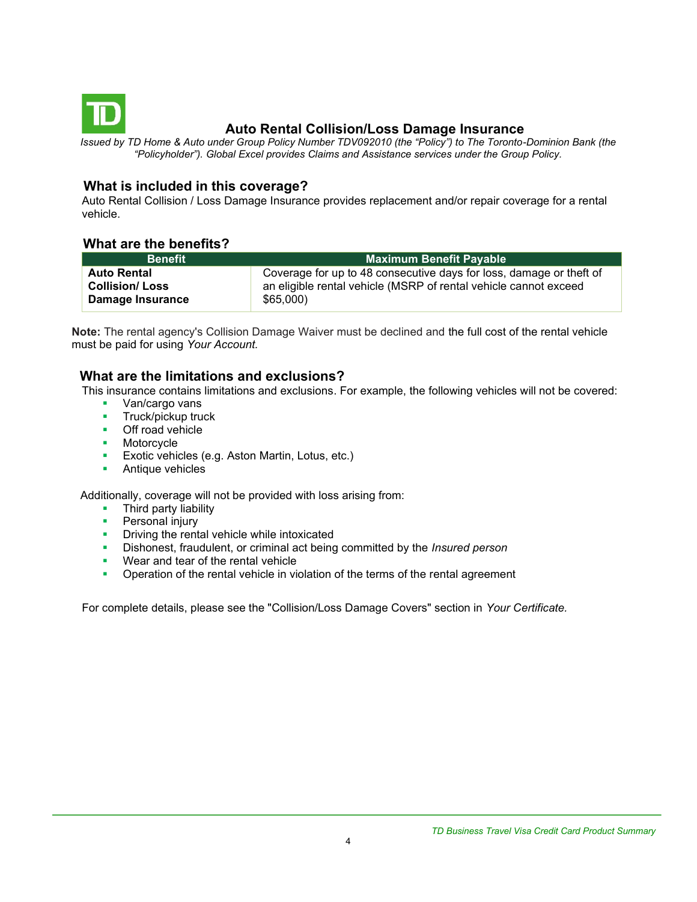<span id="page-3-0"></span>

# **Auto Rental Collision/Loss Damage Insurance**

*Issued by TD Home & Auto under Group Policy Number TDV092010 (the "Policy") to The Toronto-Dominion Bank (the "Policyholder"). Global Excel provides Claims and Assistance services under the Group Policy.*

### **What is included in this coverage?**

Auto Rental Collision / Loss Damage Insurance provides replacement and/or repair coverage for a rental vehicle.

### **What are the benefits?**

| <b>Benefit</b>        | <b>Maximum Benefit Payable</b>                                      |  |
|-----------------------|---------------------------------------------------------------------|--|
| <b>Auto Rental</b>    | Coverage for up to 48 consecutive days for loss, damage or theft of |  |
| <b>Collision/Loss</b> | an eligible rental vehicle (MSRP of rental vehicle cannot exceed    |  |
| Damage Insurance      | \$65,000                                                            |  |

**Note:** The rental agency's Collision Damage Waiver must be declined and the full cost of the rental vehicle must be paid for using *Your Account.*

#### **What are the limitations and exclusions?**

This insurance contains limitations and exclusions. For example, the following vehicles will not be covered:

- Van/cargo vans
- **■** Truck/pickup truck
- Off road vehicle
- Motorcycle
- **Exotic vehicles (e.g. Aston Martin, Lotus, etc.)**
- **•** Antique vehicles

Additionally, coverage will not be provided with loss arising from:

- Third party liability
- **Personal injury**
- **•** Driving the rental vehicle while intoxicated
- Dishonest, fraudulent, or criminal act being committed by the *Insured person*
- Wear and tear of the rental vehicle
- **•** Operation of the rental vehicle in violation of the terms of the rental agreement

For complete details, please see the "Collision/Loss Damage Covers" section in *Your Certificate.*